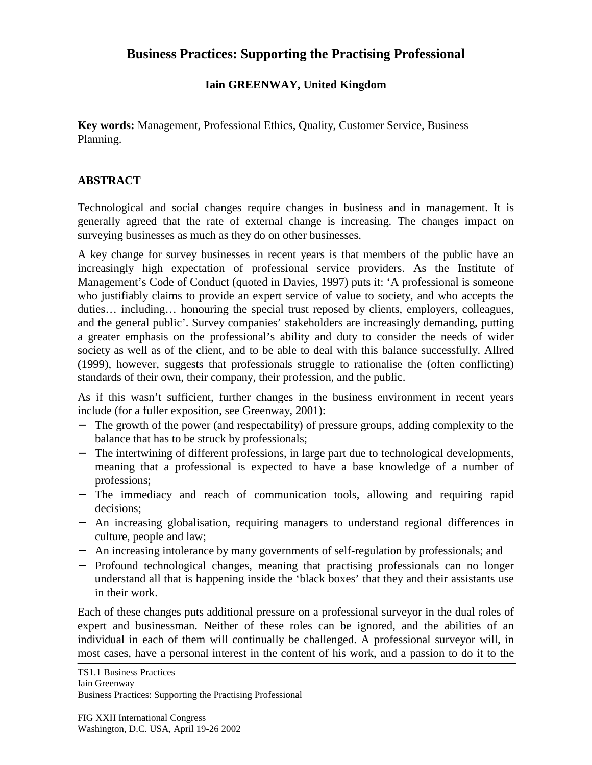## **Business Practices: Supporting the Practising Professional**

## **Iain GREENWAY, United Kingdom**

**Key words:** Management, Professional Ethics, Quality, Customer Service, Business Planning.

## **ABSTRACT**

Technological and social changes require changes in business and in management. It is generally agreed that the rate of external change is increasing. The changes impact on surveying businesses as much as they do on other businesses.

A key change for survey businesses in recent years is that members of the public have an increasingly high expectation of professional service providers. As the Institute of Management's Code of Conduct (quoted in Davies, 1997) puts it: 'A professional is someone who justifiably claims to provide an expert service of value to society, and who accepts the duties… including… honouring the special trust reposed by clients, employers, colleagues, and the general public'. Survey companies' stakeholders are increasingly demanding, putting a greater emphasis on the professional's ability and duty to consider the needs of wider society as well as of the client, and to be able to deal with this balance successfully. Allred (1999), however, suggests that professionals struggle to rationalise the (often conflicting) standards of their own, their company, their profession, and the public.

As if this wasn't sufficient, further changes in the business environment in recent years include (for a fuller exposition, see Greenway, 2001):

- − The growth of the power (and respectability) of pressure groups, adding complexity to the balance that has to be struck by professionals;
- − The intertwining of different professions, in large part due to technological developments, meaning that a professional is expected to have a base knowledge of a number of professions;
- − The immediacy and reach of communication tools, allowing and requiring rapid decisions;
- − An increasing globalisation, requiring managers to understand regional differences in culture, people and law;
- An increasing intolerance by many governments of self-regulation by professionals; and
- − Profound technological changes, meaning that practising professionals can no longer understand all that is happening inside the 'black boxes' that they and their assistants use in their work.

Each of these changes puts additional pressure on a professional surveyor in the dual roles of expert and businessman. Neither of these roles can be ignored, and the abilities of an individual in each of them will continually be challenged. A professional surveyor will, in most cases, have a personal interest in the content of his work, and a passion to do it to the